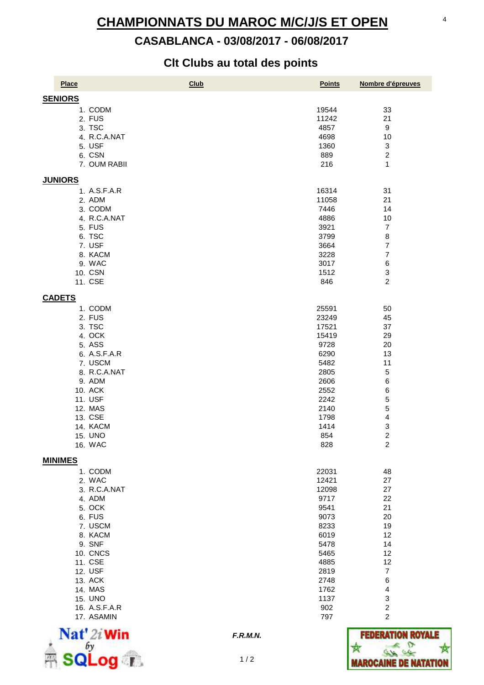# 07/08/2017 10:33:14 **CHAMPIONNATS DU MAROC M/C/J/S ET OPEN**

# **CASABLANCA - 03/08/2017 - 06/08/2017**

# **Clt Clubs au total des points**

| Place                     | Club<br><b>Points</b> | Nombre d'épreuves                |
|---------------------------|-----------------------|----------------------------------|
| <b>SENIORS</b>            |                       |                                  |
| 1. CODM                   | 19544                 | 33                               |
| 2. FUS                    | 11242                 | 21                               |
| 3. TSC                    | 4857                  | $\boldsymbol{9}$                 |
| 4. R.C.A.NAT              | 4698                  | 10                               |
| 5. USF                    | 1360                  | 3                                |
| 6. CSN                    | 889                   | $\overline{c}$                   |
| 7. OUM RABII              | 216                   | $\mathbf{1}$                     |
| <b>JUNIORS</b>            |                       |                                  |
| 1. A.S.F.A.R              | 16314                 | 31                               |
| 2. ADM                    | 11058                 | 21                               |
| 3. CODM                   | 7446                  | 14                               |
| 4. R.C.A.NAT              | 4886                  | 10                               |
| 5. FUS                    | 3921                  | $\overline{7}$                   |
| 6. TSC                    | 3799                  | 8                                |
| 7. USF                    | 3664                  | $\overline{7}$                   |
| 8. KACM                   | 3228                  | $\overline{7}$                   |
| 9. WAC<br>10. CSN         | 3017<br>1512          | 6<br>3                           |
| 11. CSE                   | 846                   | $\overline{2}$                   |
| <b>CADETS</b>             |                       |                                  |
| 1. CODM                   | 25591                 | 50                               |
| 2. FUS                    | 23249                 | 45                               |
| 3. TSC                    | 17521                 | 37                               |
| 4. OCK                    | 15419                 | 29                               |
| 5. ASS                    | 9728                  | 20                               |
| 6. A.S.F.A.R              | 6290                  | 13                               |
| 7. USCM                   | 5482                  | 11                               |
| 8. R.C.A.NAT              | 2805                  | 5                                |
| 9. ADM                    | 2606                  | 6                                |
| 10. ACK                   | 2552                  | 6                                |
| 11. USF                   | 2242                  | 5                                |
| 12. MAS                   | 2140                  | 5                                |
| 13. CSE                   | 1798                  | $\overline{\mathbf{4}}$          |
| 14. KACM                  | 1414                  | 3<br>$\overline{c}$              |
| <b>15. UNO</b><br>16. WAC | 854                   | $\overline{c}$                   |
|                           | 828                   |                                  |
| <b>MINIMES</b>            |                       |                                  |
| 1. CODM<br>2. WAC         | 22031<br>12421        | 48<br>27                         |
| 3. R.C.A.NAT              | 12098                 | 27                               |
| 4. ADM                    | 9717                  | 22                               |
| 5. OCK                    | 9541                  | 21                               |
| 6. FUS                    | 9073                  | 20                               |
| 7. USCM                   | 8233                  | 19                               |
| 8. KACM                   | 6019                  | 12                               |
| 9. SNF                    | 5478                  | 14                               |
| 10. CNCS                  | 5465                  | 12                               |
| 11. CSE                   | 4885                  | 12                               |
| 12. USF                   | 2819                  | $\overline{7}$                   |
| 13. ACK                   | 2748                  | 6                                |
| 14. MAS                   | 1762                  | 4                                |
| <b>15. UNO</b>            | 1137                  | 3                                |
| 16. A.S.F.A.R             | 902                   | $\overline{c}$<br>$\overline{c}$ |
| 17. ASAMIN                | 797                   |                                  |



**F.R.M.N.**

 $1/2$